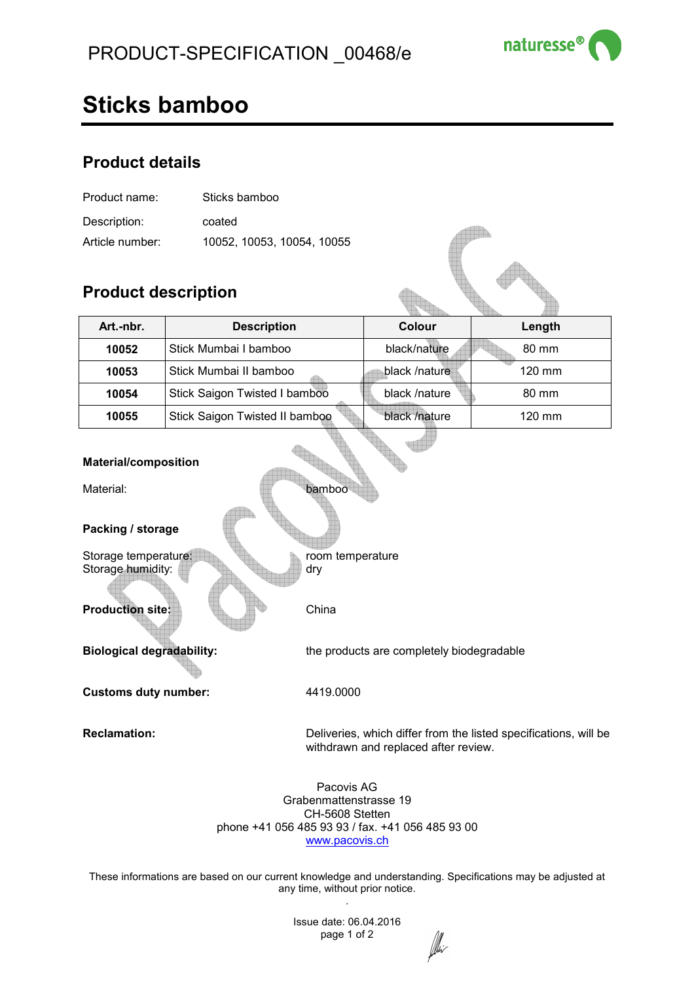

# **Sticks bamboo**

### **Product details**

| Product name:   | Sticks bamboo              |  |
|-----------------|----------------------------|--|
| Description:    | coated                     |  |
| Article number: | 10052, 10053, 10054, 10055 |  |

## **Product description**

| Art.-nbr. | <b>Description</b>             | Colour        | Length           |
|-----------|--------------------------------|---------------|------------------|
| 10052     | Stick Mumbai I bamboo          | black/nature  | 80 mm            |
| 10053     | Stick Mumbai II bamboo         | black /nature | $120 \text{ mm}$ |
| 10054     | Stick Saigon Twisted I bamboo  | black /nature | 80 mm            |
| 10055     | Stick Saigon Twisted II bamboo | black /nature | $120 \text{ mm}$ |

### **Material/composition**

Material: bamboo

**Packing / storage** 

Storage temperature: **reading the state of the state of the state of the state of the state of the state of the state of the state of the state of the state of the state of the state of the state of the state of the state** Storage humidity: **dry** dry

**Production site: China** 

**Biological degradability:** the products are completely biodegradable

**Customs duty number:** 4419.0000

**Reclamation:** Deliveries, which differ from the listed specifications, will be withdrawn and replaced after review.

> Pacovis AG Grabenmattenstrasse 19 CH-5608 Stetten phone +41 056 485 93 93 / fax. +41 056 485 93 00 www.pacovis.ch

These informations are based on our current knowledge and understanding. Specifications may be adjusted at any time, without prior notice. .